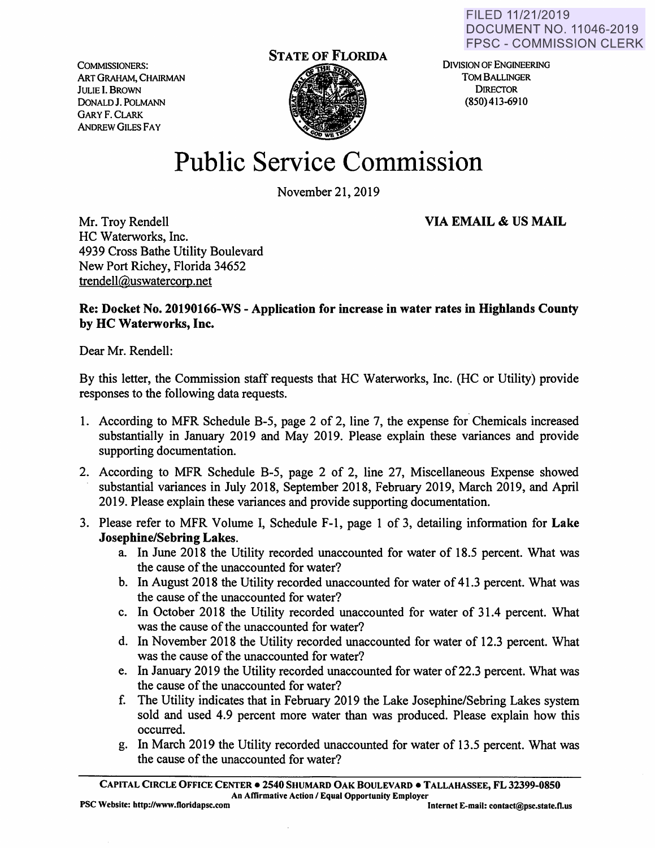COMMISSIONERS: ART GRAHAM, CHAIRMAN JULIE I. BROWN DoNALDJ. POLMANN GARY F. CLARK ANDREW GILES FAY



DIVISION OF ENGINEERING TOM BALLINGER **DIRECTOR** (850) 413-6910

## **Public Service Commission**

November 21, 2019

Mr. Troy Rendell HC Waterworks, Inc. 4939 Cross Bathe Utility Boulevard New Port Richey, Florida 34652 trendell@uswatercorp.net

**VIA EMAIL** & **US MAIL** 

## **Re: Docket No. 20190166-WS** - **Application for increase in water rates** in **Highlands County by HC Waterworks, Inc.**

Dear Mr. Rendell:

By this letter, the Commission staff requests that HC Waterworks, Inc. (HC or Utility) provide responses to the following data requests.

- 1. According to MFR Schedule B-5, page 2 of 2, line 7, the expense for Chemicals increased substantially in January 2019 and May 2019. Please explain these variances and provide supporting documentation.
- 2. According to MFR Schedule B-5, page 2 of 2, line 27, Miscellaneous Expense showed substantial variances in July 2018, September 2018, February 2019, March 2019, and April 2019. Please explain these variances and provide supporting documentation.
- 3. Please refer to MFR Volume I, Schedule F-1, page 1 of 3, detailing information for **Lake Josephine/Sebring Lakes.** 
	- a. In June 2018 the Utility recorded unaccounted for water of 18.5 percent. What was the cause of the unaccounted for water?
	- b. In August 2018 the Utility recorded unaccounted for water of 41.3 percent. What was the cause of the unaccounted for water?
	- c. In October 2018 the Utility recorded unaccounted for water of 31.4 percent. What was the cause of the unaccounted for water?
	- d. In November 2018 the Utility recorded unaccounted for water of 12.3 percent. What was the cause of the unaccounted for water?
	- e. In January 2019 the Utility recorded unaccounted for water of 22.3 percent. What was the cause of the unaccounted for water?
	- f. The Utility indicates that in February 2019 the Lake Josephine/Sebring Lakes system sold and used 4.9 percent more water than was produced. Please explain how this occurred.
	- g. In March 2019 the Utility recorded unaccounted for water of 13.5 percent. What was the cause of the unaccounted for water?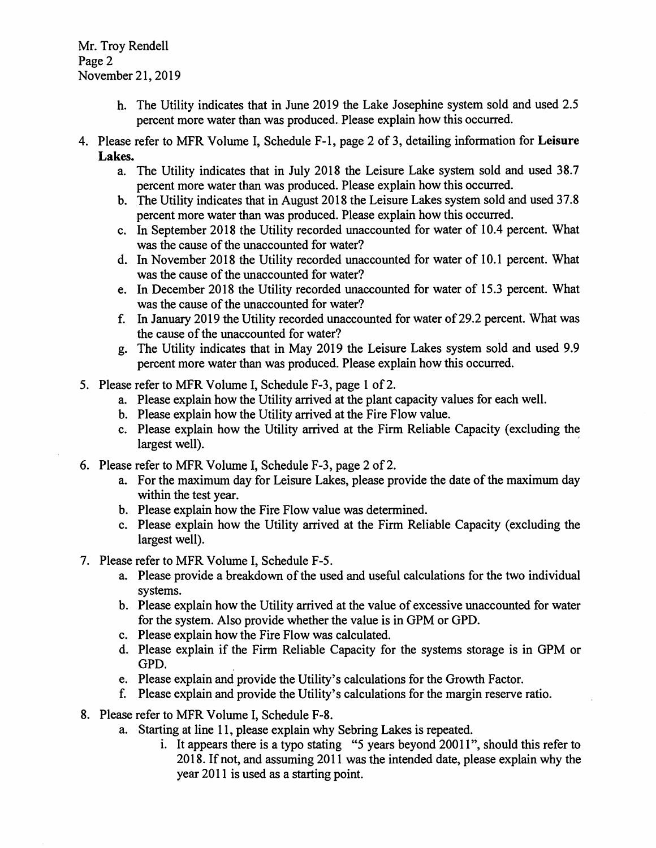Mr. Troy Rendell Page 2 November 21, 2019

- h. The Utility indicates that in June 2019 the Lake Josephine system sold and used 2.5 percent more water than was produced. Please explain how this occurred.
- 4. Please refer to MFR Volume I, Schedule F-1, page 2 of 3, detailing information for **Leisure Lakes.** 
	- a. The Utility indicates that in July 2018 the Leisure Lake system sold and used 38.7 percent more water than was produced. Please explain how this occurred.
	- b. The Utility indicates that in August 2018 the Leisure Lakes system sold and used 37.8 percent more water than was produced. Please explain how this occurred.
	- c. In September 2018 the Utility recorded unaccounted for water of 10.4 percent. What was the cause of the unaccounted for water?
	- d. In November 2018 the Utility recorded unaccounted for water of 10.1 percent. What was the cause of the unaccounted for water?
	- e. In December 2018 the Utility recorded unaccounted for water of 15.3 percent. What was the cause of the unaccounted for water?
	- f. In January 2019 the Utility recorded unaccounted for water of29.2 percent. What was the cause of the unaccounted for water?
	- g. The Utility indicates that in May 2019 the Leisure Lakes system sold and used 9.9 percent more water than was produced. Please explain how this occurred.
- 5. Please refer to MFR Volume I, Schedule F-3, page 1 of 2.
	- a. Please explain how the Utility arrived at the plant capacity values for each well.
	- b. Please explain how the Utility arrived at the Fire Flow value.
	- c. Please explain how the Utility arrived at the Firm Reliable Capacity ( excluding the largest well).
- 6. Please refer to MFR Volume I, Schedule F-3, page 2 of 2.
	- a. For the maximum day for Leisure Lakes, please provide the date of the maximum day within the test year.
	- b. Please explain how the Fire Flow value was determined.
	- c. Please explain how the Utility arrived at the Firm Reliable Capacity (excluding the largest well).
- 7. Please refer to MFR Volume I, Schedule F-5.
	- a. Please provide a breakdown of the used and useful calculations for the two individual systems.
	- b. Please explain how the Utility arrived at the value of excessive unaccounted for water for the system. Also provide whether the value is in GPM or GPD.
	- c. Please explain how the Fire Flow was calculated.
	- d. Please explain if the Firm Reliable Capacity for the systems storage is in GPM or GPD.
	- e. Please explain and provide the Utility's calculations for the Growth Factor.
	- f. Please explain and provide the Utility's calculations for the margin reserve ratio.
- 8. Please refer to MFR Volume I, Schedule F-8.
	- a. Starting at line 11, please explain why Sebring Lakes is repeated.
		- i. It appears there is a typo stating "5 years beyond 20011", should this refer to 2018. If not, and assuming 2011 was the intended date, please explain why the year 2011 is used as a starting point.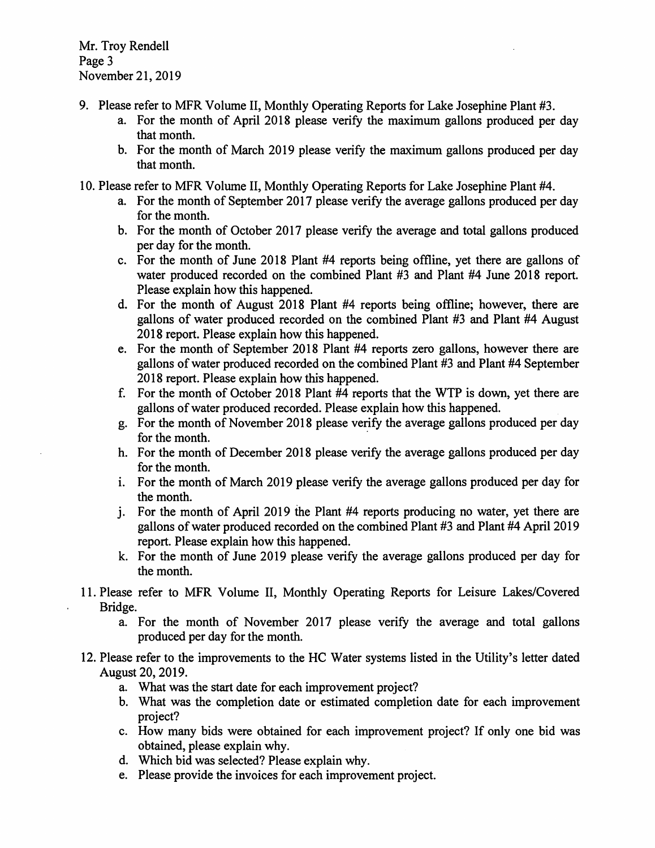- 9. Please refer to MFR Volume II, Monthly Operating Reports for Lake Josephine Plant #3.
	- a. For the month of April 2018 please verify the maximum gallons produced per day that month.
	- b. For the month of March 2019 please verify the maximum gallons produced per day that month.
- 10. Please refer to MFR Volume II, Monthly Operating Reports for Lake Josephine Plant #4.
	- a. For the month of September 2017 please verify the average gallons produced per day for the month.
	- b. For the month of October 2017 please verify the average and total gallons produced per day for the month.
	- c. For the month of June 2018 Plant #4 reports being offline, yet there are gallons of water produced recorded on the combined Plant #3 and Plant #4 June 2018 report. Please explain how this happened.
	- d. For the month of August 2018 Plant #4 reports being offline; however, there are gallons of water produced recorded on the combined Plant #3 and Plant #4 August 2018 report. Please explain how this happened.
	- e. For the month of September 2018 Plant #4 reports zero gallons, however there are gallons of water produced recorded on the combined Plant #3 and Plant #4 September 2018 report. Please explain how this happened.
	- f. For the month of October 2018 Plant #4 reports that the WTP is down, yet there are gallons of water produced recorded. Please explain how this happened.
	- g. For the month of November 2018 please verify the average gallons produced per day for the month.
	- h. For the month of December 2018 please verify the average gallons produced per day for the month.
	- 1. For the month of March 2019 please verify the average gallons produced per day for the month.
	- j. For the month of April 2019 the Plant #4 reports producing no water, yet there are gallons of water produced recorded on the combined Plant #3 and Plant #4 April 2019 report. Please explain how this happened.
	- k. For the month of June 2019 please verify the average gallons produced per day for the month.
- 11. Please refer to MFR Volume II, Monthly Operating Reports for Leisure Lakes/Covered Bridge.
	- a. For the month of November 2017 please verify the average and total gallons produced per day for the month.
- 12. Please refer to the improvements to the HC Water systems listed in the Utility's letter dated August 20, 2019.
	- a. What was the start date for each improvement project?
	- b. What was the completion date or estimated completion date for each improvement project?
	- c. How many bids were obtained for each improvement project? If only one bid was obtained, please explain why.
	- d. Which bid was selected? Please explain why.
	- e. Please provide the invoices for each improvement project.